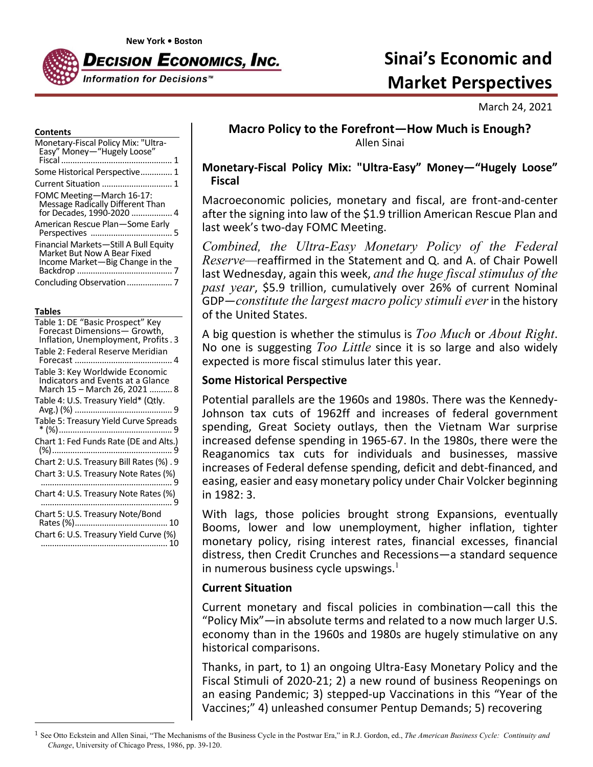

# **Sinai's Economic and Market Perspectives**

March 24, 2021

#### **Contents**

| Monetary-Fiscal Policy Mix: "Ultra-<br>Easy" Money-"Hugely Loose"                                       |
|---------------------------------------------------------------------------------------------------------|
| Some Historical Perspective 1                                                                           |
|                                                                                                         |
| FOMC Meeting-March 16-17:<br>Message Radically Different Than                                           |
| American Rescue Plan-Some Early                                                                         |
| Financial Markets-Still A Bull Equity<br>Market But Now A Bear Fixed<br>Income Market-Big Change in the |
| Concluding Observation                                                                                  |

#### **Tables**

| Table 1: DE "Basic Prospect" Key<br>Forecast Dimensions- Growth,<br>Inflation, Unemployment, Profits. 3 |
|---------------------------------------------------------------------------------------------------------|
| Table 2: Federal Reserve Meridian                                                                       |
| Table 3: Key Worldwide Economic<br>Indicators and Events at a Glance<br>March 15 – March 26, 2021  8    |
| Table 4: U.S. Treasury Yield* (Qtly.                                                                    |
| Table 5: Treasury Yield Curve Spreads                                                                   |
| Chart 1: Fed Funds Rate (DE and Alts.)                                                                  |
| Chart 2: U.S. Treasury Bill Rates (%). 9                                                                |
| Chart 3: U.S. Treasury Note Rates (%)                                                                   |
|                                                                                                         |
| Chart 5: U.S. Treasury Note/Bond                                                                        |
| Chart 6: U.S. Treasury Yield Curve (%)                                                                  |
|                                                                                                         |

# **Macro Policy to the Forefront—How Much is Enough?** Allen Sinai

## **Monetary‐Fiscal Policy Mix: "Ultra‐Easy" Money—"Hugely Loose" Fiscal**

Macroeconomic policies, monetary and fiscal, are front‐and‐center after the signing into law of the \$1.9 trillion American Rescue Plan and last week's two-day FOMC Meeting.

*Combined, the Ultra-Easy Monetary Policy of the Federal Reserve—*reaffirmed in the Statement and Q. and A. of Chair Powell last Wednesday, again this week, *and the huge fiscal stimulus of the past year*, \$5.9 trillion, cumulatively over 26% of current Nominal GDP—*constitute the largest macro policy stimuli ever*in the history of the United States.

A big question is whether the stimulus is *Too Much* or *About Right*. No one is suggesting *Too Little* since it is so large and also widely expected is more fiscal stimulus later this year.

## **Some Historical Perspective**

Potential parallels are the 1960s and 1980s. There was the Kennedy‐ Johnson tax cuts of 1962ff and increases of federal government spending, Great Society outlays, then the Vietnam War surprise increased defense spending in 1965‐67. In the 1980s, there were the Reaganomics tax cuts for individuals and businesses, massive increases of Federal defense spending, deficit and debt‐financed, and easing, easier and easy monetary policy under Chair Volcker beginning in 1982: 3.

With lags, those policies brought strong Expansions, eventually Booms, lower and low unemployment, higher inflation, tighter monetary policy, rising interest rates, financial excesses, financial distress, then Credit Crunches and Recessions—a standard sequence in numerous business cycle upswings. $<sup>1</sup>$ </sup>

## **Current Situation**

Current monetary and fiscal policies in combination—call this the "Policy Mix"—in absolute terms and related to a now much larger U.S. economy than in the 1960s and 1980s are hugely stimulative on any historical comparisons.

Thanks, in part, to 1) an ongoing Ultra‐Easy Monetary Policy and the Fiscal Stimuli of 2020‐21; 2) a new round of business Reopenings on an easing Pandemic; 3) stepped‐up Vaccinations in this "Year of the Vaccines;" 4) unleashed consumer Pentup Demands; 5) recovering

<sup>1</sup> See Otto Eckstein and Allen Sinai, "The Mechanisms of the Business Cycle in the Postwar Era," in R.J. Gordon, ed., *The American Business Cycle: Continuity and Change*, University of Chicago Press, 1986, pp. 39-120.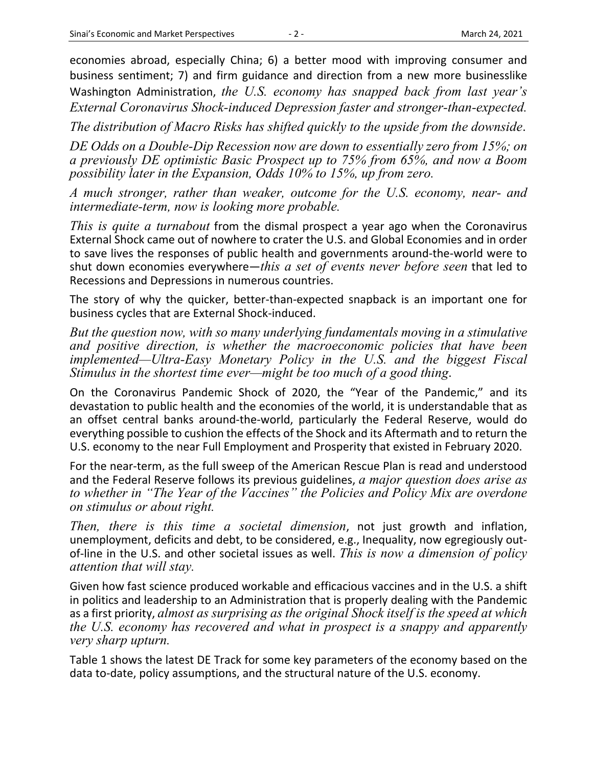economies abroad, especially China; 6) a better mood with improving consumer and business sentiment; 7) and firm guidance and direction from a new more businesslike Washington Administration, *the U.S. economy has snapped back from last year's External Coronavirus Shock-induced Depression faster and stronger-than-expected.*

*The distribution of Macro Risks has shifted quickly to the upside from the downside*.

*DE Odds on a Double-Dip Recession now are down to essentially zero from 15%; on a previously DE optimistic Basic Prospect up to 75% from 65%, and now a Boom possibility later in the Expansion, Odds 10% to 15%, up from zero.* 

*A much stronger, rather than weaker, outcome for the U.S. economy, near- and intermediate-term, now is looking more probable.* 

*This is quite a turnabout* from the dismal prospect a year ago when the Coronavirus External Shock came out of nowhere to crater the U.S. and Global Economies and in order to save lives the responses of public health and governments around‐the‐world were to shut down economies everywhere—*this a set of events never before seen* that led to Recessions and Depressions in numerous countries.

The story of why the quicker, better-than-expected snapback is an important one for business cycles that are External Shock‐induced.

*But the question now, with so many underlying fundamentals moving in a stimulative and positive direction, is whether the macroeconomic policies that have been implemented—Ultra-Easy Monetary Policy in the U.S. and the biggest Fiscal Stimulus in the shortest time ever—might be too much of a good thing*.

On the Coronavirus Pandemic Shock of 2020, the "Year of the Pandemic," and its devastation to public health and the economies of the world, it is understandable that as an offset central banks around‐the‐world, particularly the Federal Reserve, would do everything possible to cushion the effects of the Shock and its Aftermath and to return the U.S. economy to the near Full Employment and Prosperity that existed in February 2020.

For the near‐term, as the full sweep of the American Rescue Plan is read and understood and the Federal Reserve follows its previous guidelines, *a major question does arise as to whether in "The Year of the Vaccines" the Policies and Policy Mix are overdone on stimulus or about right.* 

*Then, there is this time a societal dimension*, not just growth and inflation, unemployment, deficits and debt, to be considered, e.g., Inequality, now egregiously out‐ of‐line in the U.S. and other societal issues as well. *This is now a dimension of policy attention that will stay.*

Given how fast science produced workable and efficacious vaccines and in the U.S. a shift in politics and leadership to an Administration that is properly dealing with the Pandemic as a first priority, *almost as surprising as the original Shock itself is the speed at which the U.S. economy has recovered and what in prospect is a snappy and apparently very sharp upturn.* 

Table 1 shows the latest DE Track for some key parameters of the economy based on the data to‐date, policy assumptions, and the structural nature of the U.S. economy.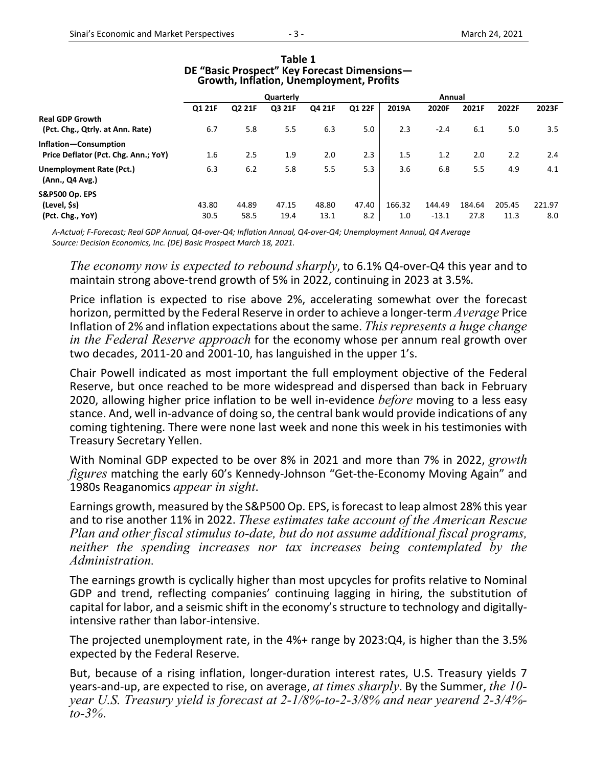|                                             | Quarterly |        |        |        | Annual |        |         |        |        |        |
|---------------------------------------------|-----------|--------|--------|--------|--------|--------|---------|--------|--------|--------|
|                                             | Q1 21F    | Q2 21F | Q3 21F | Q4 21F | Q1 22F | 2019A  | 2020F   | 2021F  | 2022F  | 2023F  |
| <b>Real GDP Growth</b>                      |           |        |        |        |        |        |         |        |        |        |
| (Pct. Chg., Qtrly. at Ann. Rate)            | 6.7       | 5.8    | 5.5    | 6.3    | 5.0    | 2.3    | $-2.4$  | 6.1    | 5.0    | 3.5    |
| Inflation-Consumption                       |           |        |        |        |        |        |         |        |        |        |
| Price Deflator (Pct. Chg. Ann.; YoY)        | 1.6       | 2.5    | 1.9    | 2.0    | 2.3    | 1.5    | 1.2     | 2.0    | 2.2    | 2.4    |
| Unemployment Rate (Pct.)<br>(Ann., Q4 Avg.) | 6.3       | 6.2    | 5.8    | 5.5    | 5.3    | 3.6    | 6.8     | 5.5    | 4.9    | 4.1    |
| <b>S&amp;P500 Op. EPS</b>                   |           |        |        |        |        |        |         |        |        |        |
| (Level, \$s)                                | 43.80     | 44.89  | 47.15  | 48.80  | 47.40  | 166.32 | 144.49  | 184.64 | 205.45 | 221.97 |
| (Pct. Chg., YoY)                            | 30.5      | 58.5   | 19.4   | 13.1   | 8.2    | 1.0    | $-13.1$ | 27.8   | 11.3   | 8.0    |

#### **Table 1 DE "Basic Prospect" Key Forecast Dimensions— Growth, Inflation, Unemployment, Profits**

A-Actual; F-Forecast; Real GDP Annual, Q4-over-Q4; Inflation Annual, Q4-over-Q4; Unemployment Annual, Q4 Average *Source: Decision Economics, Inc. (DE) Basic Prospect March 18, 2021.*

*The economy now is expected to rebound sharply*, to 6.1% Q4‐over‐Q4 this year and to maintain strong above‐trend growth of 5% in 2022, continuing in 2023 at 3.5%.

Price inflation is expected to rise above 2%, accelerating somewhat over the forecast horizon, permitted by the Federal Reserve in order to achieve a longer‐term *Average* Price Inflation of 2% and inflation expectations about the same. *Thisrepresents a huge change in the Federal Reserve approach* for the economy whose per annum real growth over two decades, 2011‐20 and 2001‐10, has languished in the upper 1's.

Chair Powell indicated as most important the full employment objective of the Federal Reserve, but once reached to be more widespread and dispersed than back in February 2020, allowing higher price inflation to be well in‐evidence *before* moving to a less easy stance. And, well in‐advance of doing so, the central bank would provide indications of any coming tightening. There were none last week and none this week in his testimonies with Treasury Secretary Yellen.

With Nominal GDP expected to be over 8% in 2021 and more than 7% in 2022, *growth figures* matching the early 60's Kennedy‐Johnson "Get‐the‐Economy Moving Again" and 1980s Reaganomics *appear in sight*.

Earnings growth, measured by the S&P500 Op. EPS, isforecast to leap almost 28% this year and to rise another 11% in 2022. *These estimates take account of the American Rescue Plan and other fiscal stimulus to-date, but do not assume additional fiscal programs, neither the spending increases nor tax increases being contemplated by the Administration.* 

The earnings growth is cyclically higher than most upcycles for profits relative to Nominal GDP and trend, reflecting companies' continuing lagging in hiring, the substitution of capital for labor, and a seismic shift in the economy's structure to technology and digitally‐ intensive rather than labor‐intensive.

The projected unemployment rate, in the 4%+ range by 2023:Q4, is higher than the 3.5% expected by the Federal Reserve.

But, because of a rising inflation, longer-duration interest rates, U.S. Treasury yields 7 years‐and‐up, are expected to rise, on average, *at times sharply*. By the Summer, *the 10 year U.S. Treasury yield is forecast at 2-1/8%-to-2-3/8% and near yearend 2-3/4% to-3%*.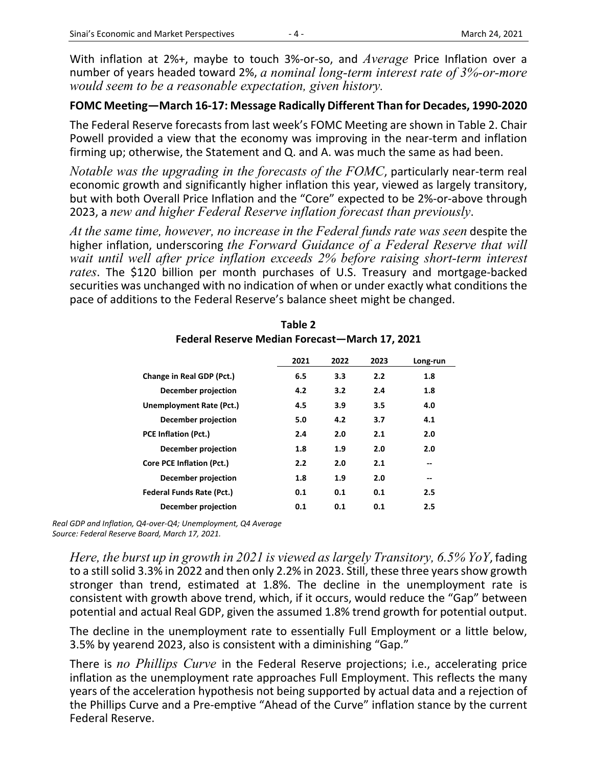With inflation at 2%+, maybe to touch 3%‐or‐so, and *Average* Price Inflation over a number of years headed toward 2%, *a nominal long-term interest rate of 3%-or-more would seem to be a reasonable expectation, given history.* 

## **FOMC Meeting—March 16‐17: Message Radically Different Than for Decades, 1990‐2020**

The Federal Reserve forecasts from last week's FOMC Meeting are shown in Table 2. Chair Powell provided a view that the economy was improving in the near-term and inflation firming up; otherwise, the Statement and Q. and A. was much the same as had been.

*Notable was the upgrading in the forecasts of the FOMC*, particularly near-term real economic growth and significantly higher inflation this year, viewed as largely transitory, but with both Overall Price Inflation and the "Core" expected to be 2%‐or‐above through 2023, a *new and higher Federal Reserve inflation forecast than previously*.

*At the same time, however, no increase in the Federal funds rate was seen* despite the higher inflation, underscoring *the Forward Guidance of a Federal Reserve that will*  wait until well after price inflation exceeds 2% before raising short-term interest *rates*. The \$120 billion per month purchases of U.S. Treasury and mortgage‐backed securities was unchanged with no indication of when or under exactly what conditions the pace of additions to the Federal Reserve's balance sheet might be changed.

|                                  | 2021 | 2022 | 2023 | Long-run |
|----------------------------------|------|------|------|----------|
| Change in Real GDP (Pct.)        | 6.5  | 3.3  | 2.2  | 1.8      |
| December projection              | 4.2  | 3.2  | 2.4  | 1.8      |
| Unemployment Rate (Pct.)         | 4.5  | 3.9  | 3.5  | 4.0      |
| December projection              | 5.0  | 4.2  | 3.7  | 4.1      |
| <b>PCE Inflation (Pct.)</b>      | 2.4  | 2.0  | 2.1  | 2.0      |
| December projection              | 1.8  | 1.9  | 2.0  | 2.0      |
| <b>Core PCE Inflation (Pct.)</b> | 2.2  | 2.0  | 2.1  | --       |
| December projection              | 1.8  | 1.9  | 2.0  | --       |
| <b>Federal Funds Rate (Pct.)</b> | 0.1  | 0.1  | 0.1  | 2.5      |
| December projection              | 0.1  | 0.1  | 0.1  | 2.5      |

## **Table 2 Federal Reserve Median Forecast—March 17, 2021**

*Real GDP and Inflation, Q4‐over‐Q4; Unemployment, Q4 Average Source: Federal Reserve Board, March 17, 2021.*

*Here, the burst up in growth in 2021 is viewed as largely Transitory, 6.5% YoY*, fading to a still solid 3.3% in 2022 and then only 2.2% in 2023. Still, these three years show growth stronger than trend, estimated at 1.8%. The decline in the unemployment rate is consistent with growth above trend, which, if it occurs, would reduce the "Gap" between potential and actual Real GDP, given the assumed 1.8% trend growth for potential output.

The decline in the unemployment rate to essentially Full Employment or a little below, 3.5% by yearend 2023, also is consistent with a diminishing "Gap."

There is *no Phillips Curve* in the Federal Reserve projections; i.e., accelerating price inflation as the unemployment rate approaches Full Employment. This reflects the many years of the acceleration hypothesis not being supported by actual data and a rejection of the Phillips Curve and a Pre‐emptive "Ahead of the Curve" inflation stance by the current Federal Reserve.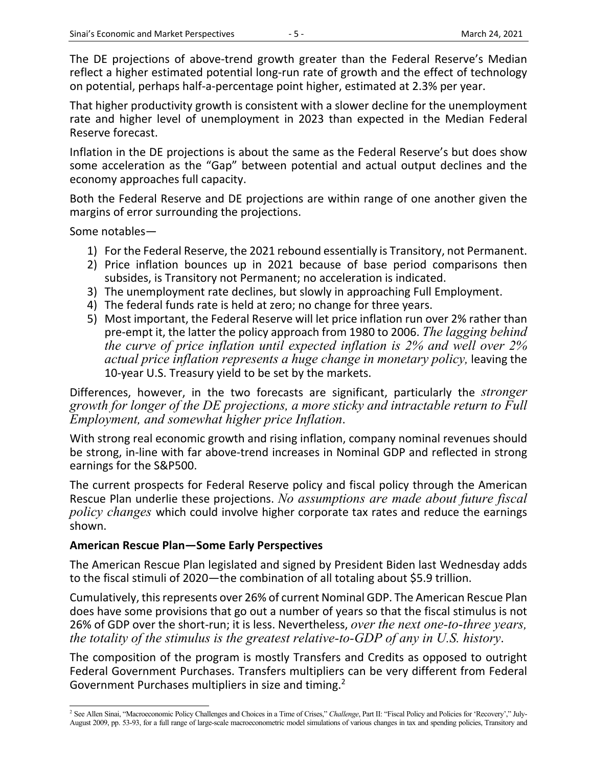The DE projections of above-trend growth greater than the Federal Reserve's Median reflect a higher estimated potential long-run rate of growth and the effect of technology on potential, perhaps half‐a‐percentage point higher, estimated at 2.3% per year.

That higher productivity growth is consistent with a slower decline for the unemployment rate and higher level of unemployment in 2023 than expected in the Median Federal Reserve forecast.

Inflation in the DE projections is about the same as the Federal Reserve's but does show some acceleration as the "Gap" between potential and actual output declines and the economy approaches full capacity.

Both the Federal Reserve and DE projections are within range of one another given the margins of error surrounding the projections.

Some notables—

- 1) For the Federal Reserve, the 2021 rebound essentially is Transitory, not Permanent.
- 2) Price inflation bounces up in 2021 because of base period comparisons then subsides, is Transitory not Permanent; no acceleration is indicated.
- 3) The unemployment rate declines, but slowly in approaching Full Employment.
- 4) The federal funds rate is held at zero; no change for three years.
- 5) Most important, the Federal Reserve will let price inflation run over 2% rather than pre‐empt it, the latter the policy approach from 1980 to 2006. *The lagging behind the curve of price inflation until expected inflation is 2% and well over 2% actual price inflation represents a huge change in monetary policy,* leaving the 10-year U.S. Treasury yield to be set by the markets.

Differences, however, in the two forecasts are significant, particularly the *stronger growth for longer of the DE projections, a more sticky and intractable return to Full Employment, and somewhat higher price Inflation*.

With strong real economic growth and rising inflation, company nominal revenues should be strong, in‐line with far above‐trend increases in Nominal GDP and reflected in strong earnings for the S&P500.

The current prospects for Federal Reserve policy and fiscal policy through the American Rescue Plan underlie these projections. *No assumptions are made about future fiscal policy changes* which could involve higher corporate tax rates and reduce the earnings shown.

## **American Rescue Plan—Some Early Perspectives**

The American Rescue Plan legislated and signed by President Biden last Wednesday adds to the fiscal stimuli of 2020—the combination of all totaling about \$5.9 trillion.

Cumulatively, thisrepresents over 26% of current Nominal GDP. The American Rescue Plan does have some provisions that go out a number of years so that the fiscal stimulus is not 26% of GDP over the short‐run; it is less. Nevertheless, *over the next one-to-three years, the totality of the stimulus is the greatest relative-to-GDP of any in U.S. history*.

The composition of the program is mostly Transfers and Credits as opposed to outright Federal Government Purchases. Transfers multipliers can be very different from Federal Government Purchases multipliers in size and timing.<sup>2</sup>

<sup>2</sup> See Allen Sinai, "Macroeconomic Policy Challenges and Choices in a Time of Crises," *Challenge*, Part II: "Fiscal Policy and Policies for 'Recovery'," July-August 2009, pp. 53-93, for a full range of large-scale macroeconometric model simulations of various changes in tax and spending policies, Transitory and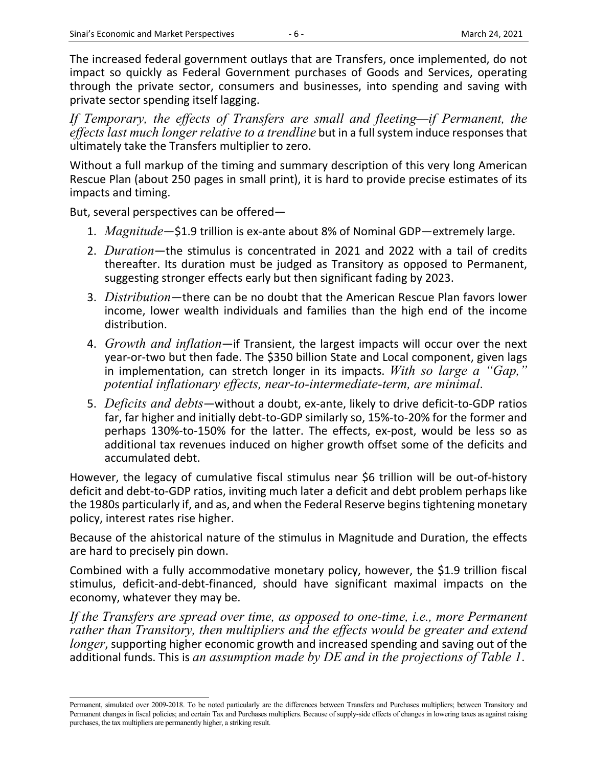The increased federal government outlays that are Transfers, once implemented, do not impact so quickly as Federal Government purchases of Goods and Services, operating through the private sector, consumers and businesses, into spending and saving with private sector spending itself lagging.

If Temporary, the effects of Transfers are small and fleeting—if Permanent, the *effects last much longer relative to a trendline* but in a fullsystem induce responsesthat ultimately take the Transfers multiplier to zero.

Without a full markup of the timing and summary description of this very long American Rescue Plan (about 250 pages in small print), it is hard to provide precise estimates of its impacts and timing.

But, several perspectives can be offered—

- 1. *Magnitude*—\$1.9 trillion is ex‐ante about 8% of Nominal GDP—extremely large.
- 2. *Duration*—the stimulus is concentrated in 2021 and 2022 with a tail of credits thereafter. Its duration must be judged as Transitory as opposed to Permanent, suggesting stronger effects early but then significant fading by 2023.
- 3. *Distribution*—there can be no doubt that the American Rescue Plan favors lower income, lower wealth individuals and families than the high end of the income distribution.
- 4. *Growth and inflation*—if Transient, the largest impacts will occur over the next year‐or‐two but then fade. The \$350 billion State and Local component, given lags in implementation, can stretch longer in its impacts. *With so large a "Gap," potential inflationary effects, near-to-intermediate-term, are minimal*.
- 5. *Deficits and debts*—without a doubt, ex‐ante, likely to drive deficit‐to‐GDP ratios far, far higher and initially debt-to-GDP similarly so, 15%-to-20% for the former and perhaps 130%‐to‐150% for the latter. The effects, ex‐post, would be less so as additional tax revenues induced on higher growth offset some of the deficits and accumulated debt.

However, the legacy of cumulative fiscal stimulus near \$6 trillion will be out-of-history deficit and debt-to-GDP ratios, inviting much later a deficit and debt problem perhaps like the 1980s particularly if, and as, and when the Federal Reserve begins tightening monetary policy, interest rates rise higher.

Because of the ahistorical nature of the stimulus in Magnitude and Duration, the effects are hard to precisely pin down.

Combined with a fully accommodative monetary policy, however, the \$1.9 trillion fiscal stimulus, deficit‐and‐debt‐financed, should have significant maximal impacts on the economy, whatever they may be.

*If the Transfers are spread over time, as opposed to one-time, i.e., more Permanent rather than Transitory, then multipliers and the effects would be greater and extend longer*, supporting higher economic growth and increased spending and saving out of the additional funds. This is *an assumption made by DE and in the projections of Table 1*.

Permanent, simulated over 2009-2018. To be noted particularly are the differences between Transfers and Purchases multipliers; between Transitory and Permanent changes in fiscal policies; and certain Tax and Purchases multipliers. Because of supply-side effects of changes in lowering taxes as against raising purchases, the tax multipliers are permanently higher, a striking result.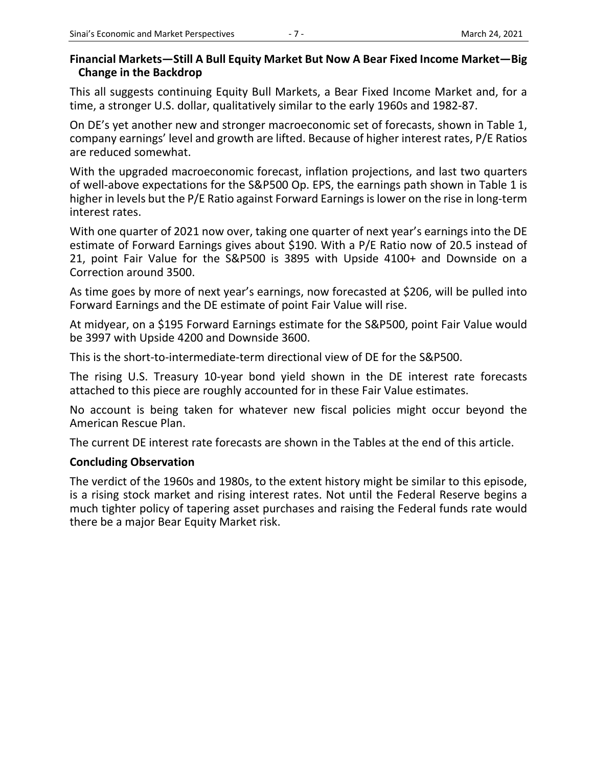## **Financial Markets—Still A Bull Equity Market But Now A Bear Fixed Income Market—Big Change in the Backdrop**

This all suggests continuing Equity Bull Markets, a Bear Fixed Income Market and, for a time, a stronger U.S. dollar, qualitatively similar to the early 1960s and 1982‐87.

On DE's yet another new and stronger macroeconomic set of forecasts, shown in Table 1, company earnings' level and growth are lifted. Because of higher interest rates, P/E Ratios are reduced somewhat.

With the upgraded macroeconomic forecast, inflation projections, and last two quarters of well‐above expectations for the S&P500 Op. EPS, the earnings path shown in Table 1 is higher in levels but the P/E Ratio against Forward Earnings is lower on the rise in long-term interest rates.

With one quarter of 2021 now over, taking one quarter of next year's earnings into the DE estimate of Forward Earnings gives about \$190. With a P/E Ratio now of 20.5 instead of 21, point Fair Value for the S&P500 is 3895 with Upside 4100+ and Downside on a Correction around 3500.

As time goes by more of next year's earnings, now forecasted at \$206, will be pulled into Forward Earnings and the DE estimate of point Fair Value will rise.

At midyear, on a \$195 Forward Earnings estimate for the S&P500, point Fair Value would be 3997 with Upside 4200 and Downside 3600.

This is the short‐to‐intermediate‐term directional view of DE for the S&P500.

The rising U.S. Treasury 10-year bond yield shown in the DE interest rate forecasts attached to this piece are roughly accounted for in these Fair Value estimates.

No account is being taken for whatever new fiscal policies might occur beyond the American Rescue Plan.

The current DE interest rate forecasts are shown in the Tables at the end of this article.

## **Concluding Observation**

The verdict of the 1960s and 1980s, to the extent history might be similar to this episode, is a rising stock market and rising interest rates. Not until the Federal Reserve begins a much tighter policy of tapering asset purchases and raising the Federal funds rate would there be a major Bear Equity Market risk.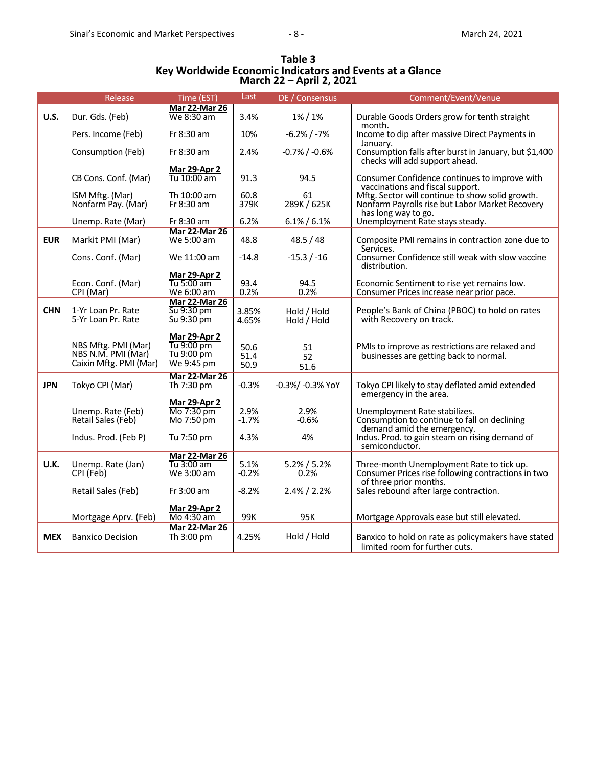| Table 3                                                  |
|----------------------------------------------------------|
| Key Worldwide Economic Indicators and Events at a Glance |
| March 22 – April 2, 2021                                 |

|             | Release                                                             | Time (EST)                                                    | Last                 | DE / Consensus             | Comment/Event/Venue                                                                                                        |
|-------------|---------------------------------------------------------------------|---------------------------------------------------------------|----------------------|----------------------------|----------------------------------------------------------------------------------------------------------------------------|
| <b>U.S.</b> | Dur. Gds. (Feb)                                                     | <b>Mar 22-Mar 26</b><br>We 8:30 am                            | 3.4%                 | $1\% / 1\%$                | Durable Goods Orders grow for tenth straight                                                                               |
|             |                                                                     |                                                               |                      |                            | month.                                                                                                                     |
|             | Pers. Income (Feb)                                                  | Fr 8:30 am                                                    | 10%                  | $-6.2% / -7%$              | Income to dip after massive Direct Payments in                                                                             |
|             | Consumption (Feb)                                                   | Fr 8:30 am                                                    | 2.4%                 | $-0.7\%$ / $-0.6\%$        | January.<br>Consumption falls after burst in January, but \$1,400<br>checks will add support ahead.                        |
|             | CB Cons. Conf. (Mar)                                                | <b>Mar 29-Apr 2</b><br>Tu 10:00 am                            | 91.3                 | 94.5                       | Consumer Confidence continues to improve with<br>vaccinations and fiscal support.                                          |
|             | ISM Mftg. (Mar)<br>Nonfarm Pay. (Mar)                               | Th 10:00 am<br>Fr 8:30 am                                     | 60.8<br>379K         | 61<br>289K / 625K          | Mftg. Sector will continue to show solid growth.<br>Nonfarm Payrolls rise but Labor Market Recovery<br>has long way to go. |
|             | Unemp. Rate (Mar)                                                   | Fr 8:30 am                                                    | 6.2%                 | $6.1\% / 6.1\%$            | Unemployment Rate stays steady.                                                                                            |
| <b>EUR</b>  | Markit PMI (Mar)                                                    | <b>Mar 22-Mar 26</b><br>We 5:00 am                            | 48.8                 | 48.5 / 48                  | Composite PMI remains in contraction zone due to<br>Services.                                                              |
|             | Cons. Conf. (Mar)                                                   | We 11:00 am                                                   | $-14.8$              | $-15.3 / -16$              | Consumer Confidence still weak with slow vaccine<br>distribution.                                                          |
|             | Econ. Conf. (Mar)<br>CPI (Mar)                                      | <b>Mar 29-Apr 2</b><br>Tu 5:00 am<br>We 6:00 am               | 93.4<br>0.2%         | 94.5<br>0.2%               | Economic Sentiment to rise yet remains low.<br>Consumer Prices increase near prior pace.                                   |
| <b>CHN</b>  | 1-Yr Loan Pr. Rate<br>5-Yr Loan Pr. Rate                            | <b>Mar 22-Mar 26</b><br>Su 9:30 pm<br>Su 9:30 pm              | 3.85%<br>4.65%       | Hold / Hold<br>Hold / Hold | People's Bank of China (PBOC) to hold on rates<br>with Recovery on track.                                                  |
|             | NBS Mftg. PMI (Mar)<br>NBS N.M. PMI (Mar)<br>Caixin Mftg. PMI (Mar) | <b>Mar 29-Apr 2</b><br>Tu 9:00 pm<br>Tu 9:00 pm<br>We 9:45 pm | 50.6<br>51.4<br>50.9 | 51<br>52<br>51.6           | PMIs to improve as restrictions are relaxed and<br>businesses are getting back to normal.                                  |
| <b>JPN</b>  | Tokyo CPI (Mar)                                                     | <b>Mar 22-Mar 26</b><br>Th 7:30 pm                            | $-0.3%$              | -0.3%/ -0.3% YoY           | Tokyo CPI likely to stay deflated amid extended<br>emergency in the area.                                                  |
|             | Unemp. Rate (Feb)<br>Retail Sales (Feb)                             | Mar 29-Apr 2<br>Mo 7:30 pm<br>Mo 7:50 pm                      | 2.9%<br>$-1.7%$      | 2.9%<br>$-0.6%$            | Unemployment Rate stabilizes.<br>Consumption to continue to fall on declining<br>demand amid the emergency.                |
|             | Indus. Prod. (Feb P)                                                | Tu 7:50 pm                                                    | 4.3%                 | 4%                         | Indus. Prod. to gain steam on rising demand of<br>semiconductor.                                                           |
| U.K.        | Unemp. Rate (Jan)<br>CPI (Feb)                                      | <b>Mar 22-Mar 26</b><br>Tu 3:00 am<br>We 3:00 am              | 5.1%<br>$-0.2%$      | $5.2\% / 5.2\%$<br>0.2%    | Three-month Unemployment Rate to tick up.<br>Consumer Prices rise following contractions in two<br>of three prior months.  |
|             | Retail Sales (Feb)                                                  | Fr 3:00 am                                                    | $-8.2%$              | $2.4\% / 2.2\%$            | Sales rebound after large contraction.                                                                                     |
|             | Mortgage Aprv. (Feb)                                                | <b>Mar 29-Apr 2</b><br>Mo 4:30 am                             | 99K                  | 95K                        | Mortgage Approvals ease but still elevated.                                                                                |
| <b>MEX</b>  | <b>Banxico Decision</b>                                             | <b>Mar 22-Mar 26</b><br>Th 3:00 pm                            | 4.25%                | Hold / Hold                | Banxico to hold on rate as policymakers have stated<br>limited room for further cuts.                                      |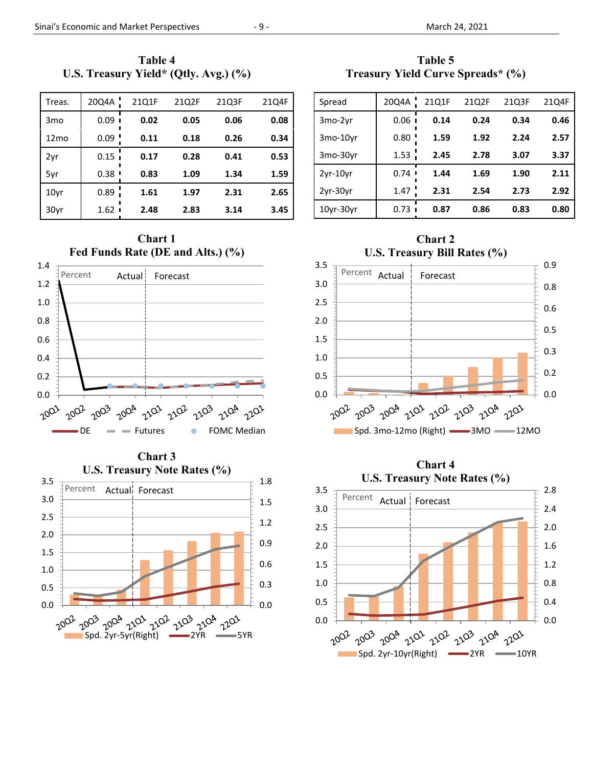**Table 4 U.S. Treasury Yield\* (Qtly. Avg.) (%)** 

| Treas.           | 20Q4A | 21Q1F | 21Q2F | 21Q3F | 21Q4F |
|------------------|-------|-------|-------|-------|-------|
| 3 <sub>mo</sub>  | 0.09  | 0.02  | 0.05  | 0.06  | 0.08  |
| 12 <sub>mo</sub> | 0.09  | 0.11  | 0.18  | 0.26  | 0.34  |
| 2yr              | 0.15  | 0.17  | 0.28  | 0.41  | 0.53  |
| 5yr              | 0.38  | 0.83  | 1.09  | 1.34  | 1.59  |
| 10 <sub>vr</sub> | 0.89  | 1.61  | 1.97  | 2.31  | 2.65  |
| 30yr             | 1.62  | 2.48  | 2.83  | 3.14  | 3.45  |

**Fed Funds Rate (DE and Alts.) (%)**  1.4 Percent Actual: Forecast 1.2 1.0 0.8 0.6 0.4 0.2 0.0 2001 2002 2003 2004 2102 2102 2103 2104 2202  $DE$   $\longrightarrow$  Futures  $\longrightarrow$  FOMC Median

**Chart 1** 

**Chart 3 U.S. Treasury Note Rates (%)**  0.0 0.3 0.6 0.9 1.2 1.5 1.8 0.0 0.5 1.0 1.5 2.0 2.5 3.0 3.5  $20^{02}$   $2^{00^2}$   $2^{00^4}$   $2^{10^2}$   $2^{10^2}$   $2^{10^3}$   $2^{10^4}$   $2^{10^3}$ <br>Spd. 2yr-5yr(Right)  $2^{10^3}$   $2^{10^4}$   $2^{10^3}$ Percent Actual Forecast



| Spread     | 20Q4A     | 21Q1F | 21Q2F | 2103F | 21Q4F |
|------------|-----------|-------|-------|-------|-------|
| 3mo-2vr    | 0.06      | 0.14  | 0.24  | 0.34  | 0.46  |
| 3mo-10yr   | 0.80      | 1.59  | 1.92  | 2.24  | 2.57  |
| 3mo-30yr   | 1.53      | 2.45  | 2.78  | 3.07  | 3.37  |
| $2yr-10yr$ | 0.74<br>I | 1.44  | 1.69  | 1.90  | 2.11  |
| $2yr-30yr$ | 1.47      | 2.31  | 2.54  | 2.73  | 2.92  |
| 10yr-30yr  | 0.73      | 0.87  | 0.86  | 0.83  | 0.80  |